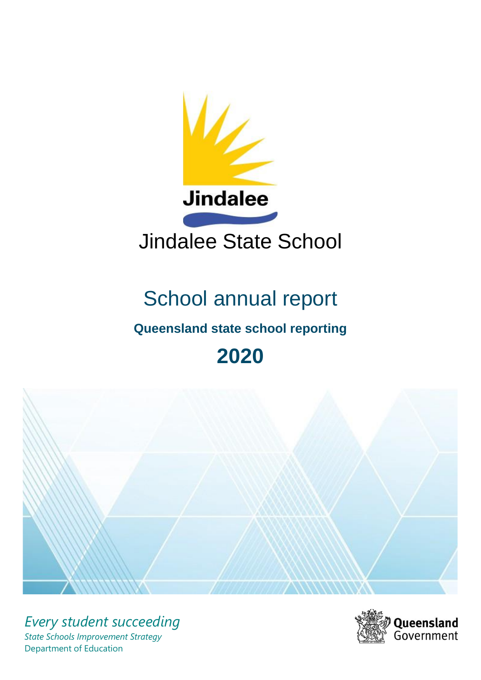

# School annual report

# **Queensland state school reporting**

# **2020**



*Every student succeeding State Schools Improvement Strategy* Department of Education

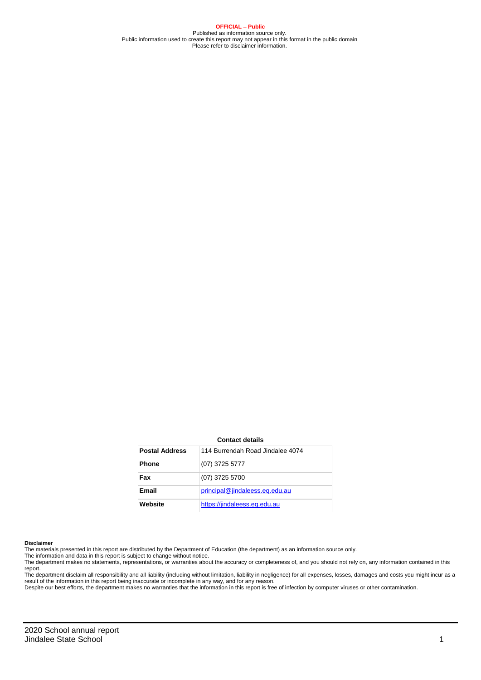**OFFICIAL – Public** Published as information source only. Public information used to create this report may not appear in this format in the public domain Please refer to disclaimer information.

#### **Contact details**

| <b>Postal Address</b> | 114 Burrendah Road Jindalee 4074 |
|-----------------------|----------------------------------|
| <b>Phone</b>          | $(07)$ 3725 5777                 |
| Fax                   | (07) 3725 5700                   |
| Email                 | principal@jindaleess.eg.edu.au   |
| Website               | https://jindaleess.eq.edu.au     |

#### **Disclaimer**

The materials presented in this report are distributed by the Department of Education (the department) as an information source only. The information and data in this report is subject to change without notice.

The department makes no statements, representations, or warranties about the accuracy or completeness of, and you should not rely on, any information contained in this report.

The department disclaim all responsibility and all liability (including without limitation, liability in negligence) for all expenses, losses, damages and costs you might incur as a<br>result of the information in this report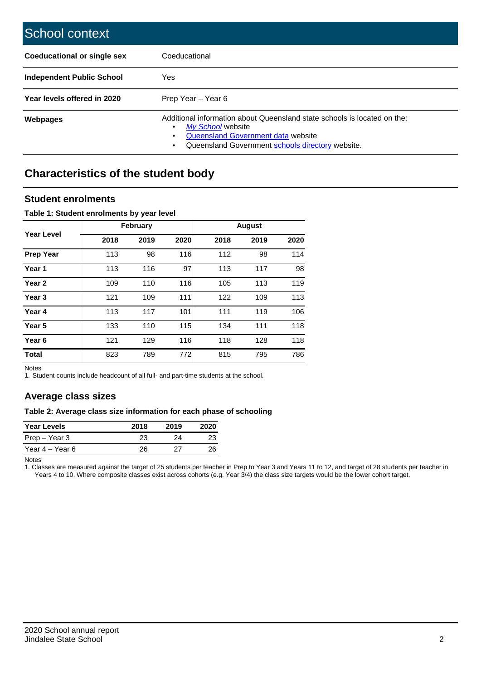| School context                     |                                                                                                                                                                                              |
|------------------------------------|----------------------------------------------------------------------------------------------------------------------------------------------------------------------------------------------|
| <b>Coeducational or single sex</b> | Coeducational                                                                                                                                                                                |
| <b>Independent Public School</b>   | Yes                                                                                                                                                                                          |
| Year levels offered in 2020        | Prep Year - Year 6                                                                                                                                                                           |
| <b>Webpages</b>                    | Additional information about Queensland state schools is located on the:<br>My School website<br>٠<br>Queensland Government data website<br>Queensland Government schools directory website. |

# **Characteristics of the student body**

### **Student enrolments**

### **Table 1: Student enrolments by year level**

|                   |      | February |      |      | <b>August</b> |      |
|-------------------|------|----------|------|------|---------------|------|
| <b>Year Level</b> | 2018 | 2019     | 2020 | 2018 | 2019          | 2020 |
| <b>Prep Year</b>  | 113  | 98       | 116  | 112  | 98            | 114  |
| Year 1            | 113  | 116      | 97   | 113  | 117           | 98   |
| Year 2            | 109  | 110      | 116  | 105  | 113           | 119  |
| Year <sub>3</sub> | 121  | 109      | 111  | 122  | 109           | 113  |
| Year 4            | 113  | 117      | 101  | 111  | 119           | 106  |
| Year 5            | 133  | 110      | 115  | 134  | 111           | 118  |
| Year 6            | 121  | 129      | 116  | 118  | 128           | 118  |
| <b>Total</b>      | 823  | 789      | 772  | 815  | 795           | 786  |

Notes

1. Student counts include headcount of all full- and part-time students at the school.

### **Average class sizes**

### **Table 2: Average class size information for each phase of schooling**

| <b>Year Levels</b> | 2018 | 2019 | 2020 |
|--------------------|------|------|------|
| Prep – Year 3      | 23   | 24   | 23   |
| Year 4 – Year 6    | 26   | 27   | 26   |

Notes

1. Classes are measured against the target of 25 students per teacher in Prep to Year 3 and Years 11 to 12, and target of 28 students per teacher in Years 4 to 10. Where composite classes exist across cohorts (e.g. Year 3/4) the class size targets would be the lower cohort target.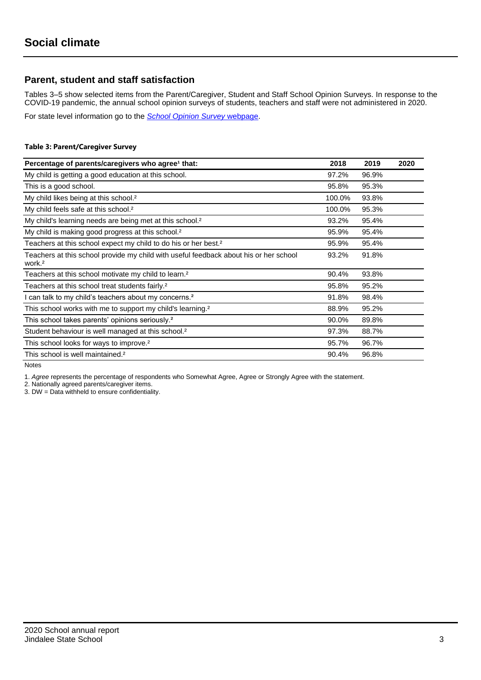### **Parent, student and staff satisfaction**

Tables 3–5 show selected items from the Parent/Caregiver, Student and Staff School Opinion Surveys. In response to the COVID-19 pandemic, the annual school opinion surveys of students, teachers and staff were not administered in 2020.

For state level information go to the *[School Opinion Survey](https://qed.qld.gov.au/publications/reports/statistics/schooling/schools/schoolopinionsurvey)* [webpage.](https://qed.qld.gov.au/publications/reports/statistics/schooling/schools/schoolopinionsurvey)

### **Table 3: Parent/Caregiver Survey**

| Percentage of parents/caregivers who agree <sup>1</sup> that:                                               | 2018   | 2019  | 2020 |
|-------------------------------------------------------------------------------------------------------------|--------|-------|------|
| My child is getting a good education at this school.                                                        | 97.2%  | 96.9% |      |
| This is a good school.                                                                                      | 95.8%  | 95.3% |      |
| My child likes being at this school. <sup>2</sup>                                                           | 100.0% | 93.8% |      |
| My child feels safe at this school. <sup>2</sup>                                                            | 100.0% | 95.3% |      |
| My child's learning needs are being met at this school. <sup>2</sup>                                        | 93.2%  | 95.4% |      |
| My child is making good progress at this school. <sup>2</sup>                                               | 95.9%  | 95.4% |      |
| Teachers at this school expect my child to do his or her best. <sup>2</sup>                                 | 95.9%  | 95.4% |      |
| Teachers at this school provide my child with useful feedback about his or her school<br>work. <sup>2</sup> | 93.2%  | 91.8% |      |
| Teachers at this school motivate my child to learn. <sup>2</sup>                                            | 90.4%  | 93.8% |      |
| Teachers at this school treat students fairly. <sup>2</sup>                                                 | 95.8%  | 95.2% |      |
| I can talk to my child's teachers about my concerns. <sup>2</sup>                                           | 91.8%  | 98.4% |      |
| This school works with me to support my child's learning. <sup>2</sup>                                      | 88.9%  | 95.2% |      |
| This school takes parents' opinions seriously. <sup>2</sup>                                                 | 90.0%  | 89.8% |      |
| Student behaviour is well managed at this school. <sup>2</sup>                                              | 97.3%  | 88.7% |      |
| This school looks for ways to improve. <sup>2</sup>                                                         | 95.7%  | 96.7% |      |
| This school is well maintained. <sup>2</sup>                                                                | 90.4%  | 96.8% |      |

Notes

1. *Agree* represents the percentage of respondents who Somewhat Agree, Agree or Strongly Agree with the statement.

2. Nationally agreed parents/caregiver items.

3. DW = Data withheld to ensure confidentiality.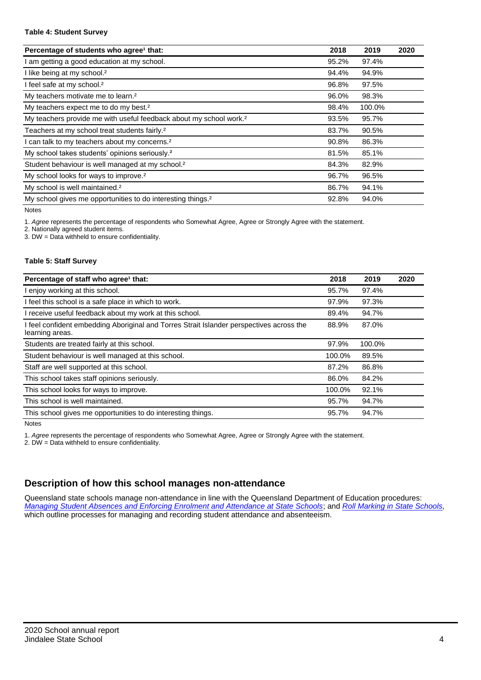### **Table 4: Student Survey**

| Percentage of students who agree <sup>1</sup> that:                            | 2018  | 2019   | 2020 |
|--------------------------------------------------------------------------------|-------|--------|------|
| am getting a good education at my school.                                      | 95.2% | 97.4%  |      |
| I like being at my school. <sup>2</sup>                                        | 94.4% | 94.9%  |      |
| I feel safe at my school. <sup>2</sup>                                         | 96.8% | 97.5%  |      |
| My teachers motivate me to learn. <sup>2</sup>                                 | 96.0% | 98.3%  |      |
| My teachers expect me to do my best. <sup>2</sup>                              | 98.4% | 100.0% |      |
| My teachers provide me with useful feedback about my school work. <sup>2</sup> | 93.5% | 95.7%  |      |
| Teachers at my school treat students fairly. <sup>2</sup>                      | 83.7% | 90.5%  |      |
| can talk to my teachers about my concerns. <sup>2</sup>                        | 90.8% | 86.3%  |      |
| My school takes students' opinions seriously. <sup>2</sup>                     | 81.5% | 85.1%  |      |
| Student behaviour is well managed at my school. <sup>2</sup>                   | 84.3% | 82.9%  |      |
| My school looks for ways to improve. <sup>2</sup>                              | 96.7% | 96.5%  |      |
| My school is well maintained. <sup>2</sup>                                     | 86.7% | 94.1%  |      |
| My school gives me opportunities to do interesting things. <sup>2</sup>        | 92.8% | 94.0%  |      |

Notes

1. *Agree* represents the percentage of respondents who Somewhat Agree, Agree or Strongly Agree with the statement.

2. Nationally agreed student items.

3. DW = Data withheld to ensure confidentiality.

### **Table 5: Staff Survey**

| Percentage of staff who agree <sup>1</sup> that:                                                            | 2018   | 2019   | 2020 |
|-------------------------------------------------------------------------------------------------------------|--------|--------|------|
| I enjoy working at this school.                                                                             | 95.7%  | 97.4%  |      |
| I feel this school is a safe place in which to work.                                                        | 97.9%  | 97.3%  |      |
| I receive useful feedback about my work at this school.                                                     | 89.4%  | 94.7%  |      |
| I feel confident embedding Aboriginal and Torres Strait Islander perspectives across the<br>learning areas. | 88.9%  | 87.0%  |      |
| Students are treated fairly at this school.                                                                 | 97.9%  | 100.0% |      |
| Student behaviour is well managed at this school.                                                           | 100.0% | 89.5%  |      |
| Staff are well supported at this school.                                                                    | 87.2%  | 86.8%  |      |
| This school takes staff opinions seriously.                                                                 | 86.0%  | 84.2%  |      |
| This school looks for ways to improve.                                                                      | 100.0% | 92.1%  |      |
| This school is well maintained.                                                                             | 95.7%  | 94.7%  |      |
| This school gives me opportunities to do interesting things.                                                | 95.7%  | 94.7%  |      |

Notes

1. *Agree* represents the percentage of respondents who Somewhat Agree, Agree or Strongly Agree with the statement.

2. DW = Data withheld to ensure confidentiality.

## **Description of how this school manages non-attendance**

Queensland state schools manage non-attendance in line with the Queensland Department of Education procedures: *[Managing Student Absences and Enforcing Enrolment and Attendance at State Schools](https://ppr.qed.qld.gov.au/pp/managing-student-absences-and-enforcing-enrolment-and-attendance-at-state-schools-procedure)*; and *[Roll Marking in State Schools,](https://ppr.qed.qld.gov.au/pp/roll-marking-in-state-schools-procedure)* which outline processes for managing and recording student attendance and absenteeism.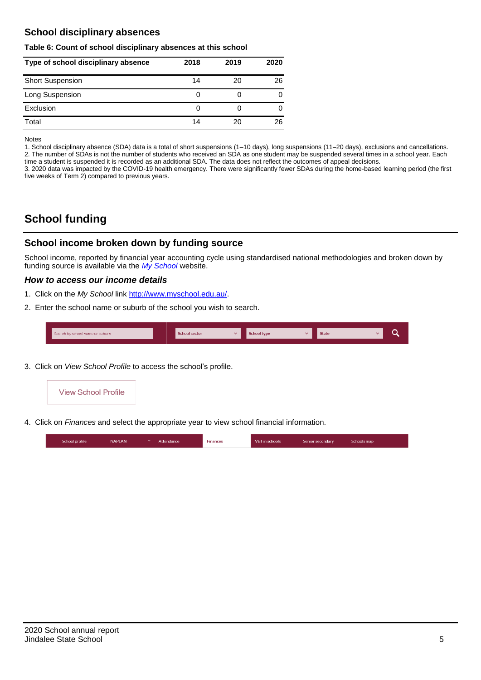## **School disciplinary absences**

### **Table 6: Count of school disciplinary absences at this school**

| Type of school disciplinary absence | 2018 | 2019 | 2020 |
|-------------------------------------|------|------|------|
| <b>Short Suspension</b>             | 14   | 20   | 26   |
| Long Suspension                     | O    |      | 0    |
| Exclusion                           | O    |      |      |
| Total                               | 14   | 20   | 26   |

Notes

1. School disciplinary absence (SDA) data is a total of short suspensions (1–10 days), long suspensions (11–20 days), exclusions and cancellations. 2. The number of SDAs is not the number of students who received an SDA as one student may be suspended several times in a school year. Each time a student is suspended it is recorded as an additional SDA. The data does not reflect the outcomes of appeal decisions.

3. 2020 data was impacted by the COVID-19 health emergency. There were significantly fewer SDAs during the home-based learning period (the first five weeks of Term 2) compared to previous years.

# **School funding**

### **School income broken down by funding source**

School income, reported by financial year accounting cycle using standardised national methodologies and broken down by funding source is available via the *[My School](http://www.myschool.edu.au/)* website.

### *How to access our income details*

- 1. Click on the *My School* link [http://www.myschool.edu.au/.](http://www.myschool.edu.au/)
- 2. Enter the school name or suburb of the school you wish to search.

| Search by school name or suburb | <b>School sector</b> | <b>School type</b><br>447 | <b>State</b> | ∽ |
|---------------------------------|----------------------|---------------------------|--------------|---|
|                                 |                      |                           |              |   |

3. Click on *View School Profile* to access the school's profile.



4. Click on *Finances* and select the appropriate year to view school financial information.

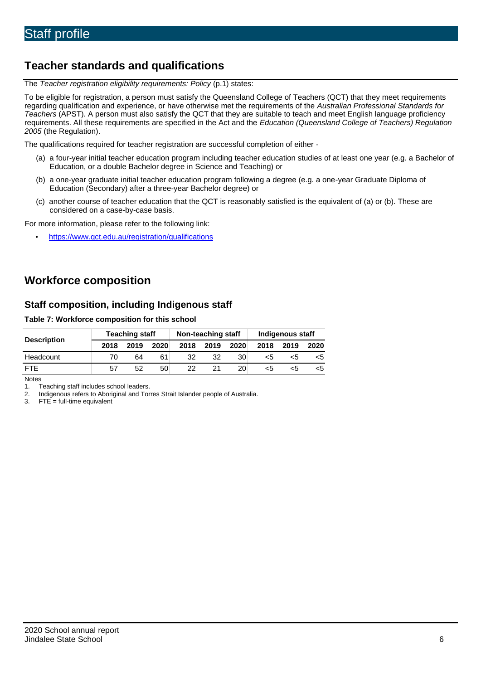# **Teacher standards and qualifications**

The *Teacher registration eligibility requirements: Policy* (p.1) states:

To be eligible for registration, a person must satisfy the Queensland College of Teachers (QCT) that they meet requirements regarding qualification and experience, or have otherwise met the requirements of the *Australian Professional Standards for Teachers* (APST). A person must also satisfy the QCT that they are suitable to teach and meet English language proficiency requirements. All these requirements are specified in the Act and the *Education (Queensland College of Teachers) Regulation 2005* (the Regulation).

The qualifications required for teacher registration are successful completion of either -

- (a) a four-year initial teacher education program including teacher education studies of at least one year (e.g. a Bachelor of Education, or a double Bachelor degree in Science and Teaching) or
- (b) a one-year graduate initial teacher education program following a degree (e.g. a one-year Graduate Diploma of Education (Secondary) after a three-year Bachelor degree) or
- (c) another course of teacher education that the QCT is reasonably satisfied is the equivalent of (a) or (b). These are considered on a case-by-case basis.

For more information, please refer to the following link:

• <https://www.qct.edu.au/registration/qualifications>

# **Workforce composition**

### **Staff composition, including Indigenous staff**

### **Table 7: Workforce composition for this school**

|                    | <b>Teaching staff</b> |      |      | Non-teaching staff |      |      | Indigenous staff |      |      |
|--------------------|-----------------------|------|------|--------------------|------|------|------------------|------|------|
| <b>Description</b> | 2018                  | 2019 | 2020 | 2018               | 2019 | 2020 | 2018             | 2019 | 2020 |
| Headcount          | 70                    | 64   |      | 32                 | 32   | 30   | <5               | ה>   | כ>   |
| <b>FTE</b>         | 57                    | 52   | 50   | 22.                | 21   | 20   | <5               | ה>   |      |

Notes

1. Teaching staff includes school leaders.<br>2. Indigenous refers to Aboriginal and Tor 2. Indigenous refers to Aboriginal and Torres Strait Islander people of Australia.<br>3. FTE = full-time equivalent

 $FTE = full-time equivalent$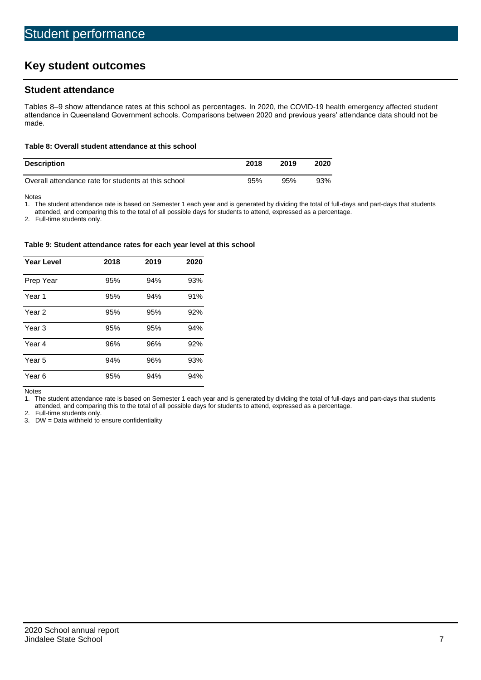# **Key student outcomes**

### **Student attendance**

Tables 8–9 show attendance rates at this school as percentages. In 2020, the COVID-19 health emergency affected student attendance in Queensland Government schools. Comparisons between 2020 and previous years' attendance data should not be made.

### **Table 8: Overall student attendance at this school**

| <b>Description</b>                                  | 2018 | 2019 | 2020 |
|-----------------------------------------------------|------|------|------|
| Overall attendance rate for students at this school | 95%  | 95%  | 93%  |

Notes<br>1. Th

The student attendance rate is based on Semester 1 each year and is generated by dividing the total of full-days and part-days that students

attended, and comparing this to the total of all possible days for students to attend, expressed as a percentage.

2. Full-time students only.

#### **Table 9: Student attendance rates for each year level at this school**

| <b>Year Level</b> | 2018 | 2019 | 2020 |
|-------------------|------|------|------|
| Prep Year         | 95%  | 94%  | 93%  |
| Year <sub>1</sub> | 95%  | 94%  | 91%  |
| Year 2            | 95%  | 95%  | 92%  |
| Year <sub>3</sub> | 95%  | 95%  | 94%  |
| Year 4            | 96%  | 96%  | 92%  |
| Year 5            | 94%  | 96%  | 93%  |
| Year <sub>6</sub> | 95%  | 94%  | 94%  |

Notes

1. The student attendance rate is based on Semester 1 each year and is generated by dividing the total of full-days and part-days that students attended, and comparing this to the total of all possible days for students to attend, expressed as a percentage.

2. Full-time students only.<br>3. DW = Data withheld to

 $DW = Data$  withheld to ensure confidentiality